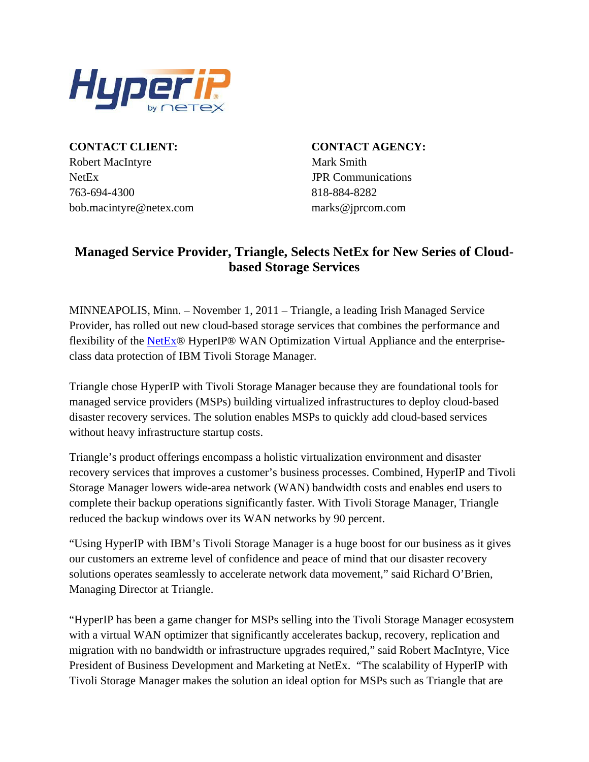

**CONTACT CLIENT: CONTACT AGENCY:** Robert MacIntyre Mark Smith NetEx JPR Communications 763-694-4300 818-884-8282 bob.macintyre@netex.com marks@jprcom.com

## **Managed Service Provider, Triangle, Selects NetEx for New Series of Cloudbased Storage Services**

MINNEAPOLIS, Minn. – November 1, 2011 – Triangle, a leading Irish Managed Service Provider, has rolled out new cloud-based storage services that combines the performance and flexibility of the [NetEx®](http://www.netex.com/) HyperIP® WAN Optimization Virtual Appliance and the enterpriseclass data protection of IBM Tivoli Storage Manager.

Triangle chose HyperIP with Tivoli Storage Manager because they are foundational tools for managed service providers (MSPs) building virtualized infrastructures to deploy cloud-based disaster recovery services. The solution enables MSPs to quickly add cloud-based services without heavy infrastructure startup costs.

Triangle's product offerings encompass a holistic virtualization environment and disaster recovery services that improves a customer's business processes. Combined, HyperIP and Tivoli Storage Manager lowers wide-area network (WAN) bandwidth costs and enables end users to complete their backup operations significantly faster. With Tivoli Storage Manager, Triangle reduced the backup windows over its WAN networks by 90 percent.

"Using HyperIP with IBM's Tivoli Storage Manager is a huge boost for our business as it gives our customers an extreme level of confidence and peace of mind that our disaster recovery solutions operates seamlessly to accelerate network data movement," said Richard O'Brien, Managing Director at Triangle.

"HyperIP has been a game changer for MSPs selling into the Tivoli Storage Manager ecosystem with a virtual WAN optimizer that significantly accelerates backup, recovery, replication and migration with no bandwidth or infrastructure upgrades required," said Robert MacIntyre, Vice President of Business Development and Marketing at NetEx. "The scalability of HyperIP with Tivoli Storage Manager makes the solution an ideal option for MSPs such as Triangle that are